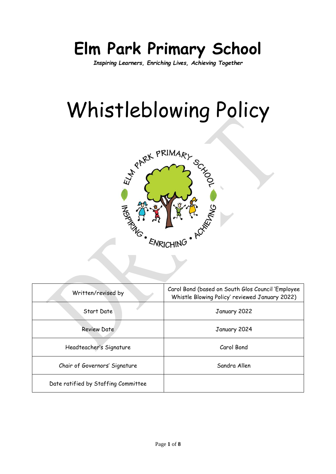# **Elm Park Primary School**

*Inspiring Learners, Enriching Lives, Achieving Together*

# Whistleblowing Policy



| Written/revised by                  | Carol Bond (based on South Glos Council 'Employee<br>Whistle Blowing Policy' reviewed January 2022) |  |
|-------------------------------------|-----------------------------------------------------------------------------------------------------|--|
| Start Date                          | January 2022                                                                                        |  |
| <b>Review Date</b>                  | January 2024                                                                                        |  |
| Headteacher's Signature             | Carol Bond                                                                                          |  |
| Chair of Governors' Signature       | Sandra Allen                                                                                        |  |
| Date ratified by Staffing Committee |                                                                                                     |  |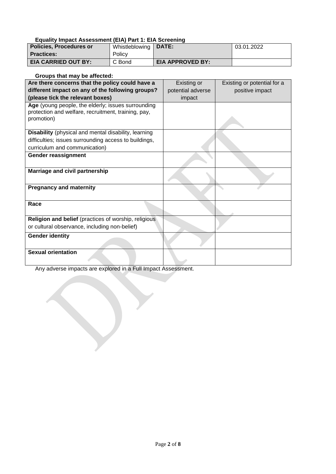#### **Equality Impact Assessment (EIA) Part 1: EIA Screening**

| <b>Policies, Procedures or</b> | Whistleblowing | <b>DATE:</b>            | 03.01.2022 |
|--------------------------------|----------------|-------------------------|------------|
| <b>Practices:</b>              | Policy         |                         |            |
| <b>EIA CARRIED OUT BY:</b>     | C Bond         | <b>EIA APPROVED BY:</b> |            |

#### **Groups that may be affected:**

| Are there concerns that the policy could have a                                                           | Existing or       | Existing or potential for a |
|-----------------------------------------------------------------------------------------------------------|-------------------|-----------------------------|
| different impact on any of the following groups?                                                          | potential adverse | positive impact             |
| (please tick the relevant boxes)                                                                          | impact            |                             |
| Age (young people, the elderly; issues surrounding<br>protection and welfare, recruitment, training, pay, |                   |                             |
| promotion)                                                                                                |                   |                             |
| <b>Disability</b> (physical and mental disability, learning                                               |                   |                             |
| difficulties; issues surrounding access to buildings,                                                     |                   |                             |
| curriculum and communication)                                                                             |                   |                             |
| Gender reassignment                                                                                       |                   |                             |
| Marriage and civil partnership                                                                            |                   |                             |
| <b>Pregnancy and maternity</b>                                                                            |                   |                             |
| Race                                                                                                      |                   |                             |
| Religion and belief (practices of worship, religious                                                      |                   |                             |
| or cultural observance, including non-belief)                                                             |                   |                             |
| <b>Gender identity</b>                                                                                    |                   |                             |
| <b>Sexual orientation</b>                                                                                 |                   |                             |

Any adverse impacts are explored in a Full Impact Assessment.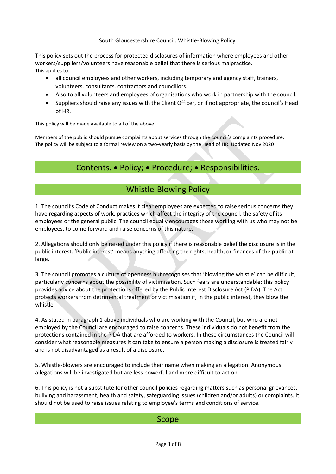South Gloucestershire Council. Whistle-Blowing Policy.

This policy sets out the process for protected disclosures of information where employees and other workers/suppliers/volunteers have reasonable belief that there is serious malpractice. This applies to:

- all council employees and other workers, including temporary and agency staff, trainers, volunteers, consultants, contractors and councillors.
- Also to all volunteers and employees of organisations who work in partnership with the council.
- Suppliers should raise any issues with the Client Officer, or if not appropriate, the council's Head of HR.

This policy will be made available to all of the above.

Members of the public should pursue complaints about services through the council's complaints procedure. The policy will be subject to a formal review on a two-yearly basis by the Head of HR. Updated Nov 2020

# Contents. • Policy; • Procedure; • Responsibilities.

# Whistle-Blowing Policy

1. The council's Code of Conduct makes it clear employees are expected to raise serious concerns they have regarding aspects of work, practices which affect the integrity of the council, the safety of its employees or the general public. The council equally encourages those working with us who may not be employees, to come forward and raise concerns of this nature.

2. Allegations should only be raised under this policy if there is reasonable belief the disclosure is in the public interest. 'Public interest' means anything affecting the rights, health, or finances of the public at large.

3. The council promotes a culture of openness but recognises that 'blowing the whistle' can be difficult, particularly concerns about the possibility of victimisation. Such fears are understandable; this policy provides advice about the protections offered by the Public Interest Disclosure Act (PIDA). The Act protects workers from detrimental treatment or victimisation if, in the public interest, they blow the whistle.

4. As stated in paragraph 1 above individuals who are working with the Council, but who are not employed by the Council are encouraged to raise concerns. These individuals do not benefit from the protections contained in the PIDA that are afforded to workers. In these circumstances the Council will consider what reasonable measures it can take to ensure a person making a disclosure is treated fairly and is not disadvantaged as a result of a disclosure.

5. Whistle-blowers are encouraged to include their name when making an allegation. Anonymous allegations will be investigated but are less powerful and more difficult to act on.

6. This policy is not a substitute for other council policies regarding matters such as personal grievances, bullying and harassment, health and safety, safeguarding issues (children and/or adults) or complaints. It should not be used to raise issues relating to employee's terms and conditions of service.

### Scope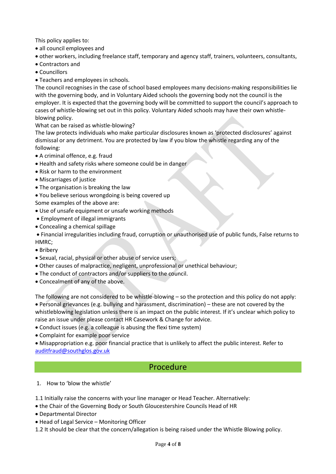This policy applies to:

- all council employees and
- other workers, including freelance staff, temporary and agency staff, trainers, volunteers, consultants,
- Contractors and
- Councillors
- Teachers and employees in schools.

The council recognises in the case of school based employees many decisions-making responsibilities lie with the governing body, and in Voluntary Aided schools the governing body not the council is the employer. It is expected that the governing body will be committed to support the council's approach to cases of whistle-blowing set out in this policy. Voluntary Aided schools may have their own whistleblowing policy.

What can be raised as whistle-blowing?

The law protects individuals who make particular disclosures known as 'protected disclosures' against dismissal or any detriment. You are protected by law if you blow the whistle regarding any of the following:

- A criminal offence, e.g. fraud
- Health and safety risks where someone could be in danger
- Risk or harm to the environment
- Miscarriages of justice
- The organisation is breaking the law
- You believe serious wrongdoing is being covered up

Some examples of the above are:

- Use of unsafe equipment or unsafe working methods
- Employment of illegal immigrants
- Concealing a chemical spillage

 Financial irregularities including fraud, corruption or unauthorised use of public funds, False returns to HMRC;

- Bribery
- Sexual, racial, physical or other abuse of service users;
- Other causes of malpractice, negligent, unprofessional or unethical behaviour;
- The conduct of contractors and/or suppliers to the council.
- Concealment of any of the above.

The following are not considered to be whistle-blowing – so the protection and this policy do not apply: Personal grievances (e.g. bullying and harassment, discrimination) – these are not covered by the whistleblowing legislation unless there is an impact on the public interest. If it's unclear which policy to raise an issue under please contact HR Casework & Change for advice.

- Conduct issues (e.g. a colleague is abusing the flexi time system)
- Complaint for example poor service

 Misappropriation e.g. poor financial practice that is unlikely to affect the public interest. Refer to [auditfraud@southglos.gov.uk](mailto:auditfraud@southglos.gov.uk)

### Procedure

1. How to 'blow the whistle'

1.1 Initially raise the concerns with your line manager or Head Teacher. Alternatively:

- the Chair of the Governing Body or South Gloucestershire Councils Head of HR
- Departmental Director
- Head of Legal Service Monitoring Officer

1.2 It should be clear that the concern/allegation is being raised under the Whistle Blowing policy.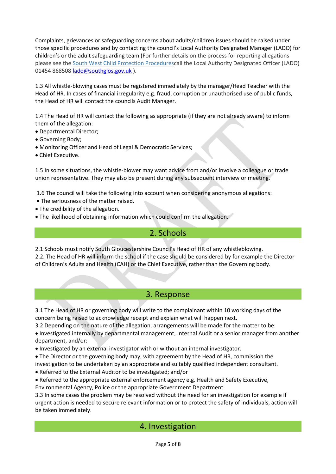Complaints, grievances or safeguarding concerns about adults/children issues should be raised under those specific procedures and by contacting the council's Local Authority Designated Manager (LADO) for children's or the adult safeguarding team (For further details on the process for reporting allegations please see the [South West Child Protection Proceduresc](http://www.proceduresonline.com/swcpp/southglos/p_alleg_against_staff.html)all the Local Authority Designated Officer (LADO) 01454 86850[8 lado@southglos.gov.uk](mailto:lado@southglos.gov.uk) ).

1.3 All whistle-blowing cases must be registered immediately by the manager/Head Teacher with the Head of HR. In cases of financial irregularity e.g. fraud, corruption or unauthorised use of public funds, the Head of HR will contact the councils Audit Manager.

1.4 The Head of HR will contact the following as appropriate (if they are not already aware) to inform them of the allegation:

- Departmental Director;
- Governing Body;
- Monitoring Officer and Head of Legal & Democratic Services;
- Chief Executive.

1.5 In some situations, the whistle-blower may want advice from and/or involve a colleague or trade union representative. They may also be present during any subsequent interview or meeting.

1.6 The council will take the following into account when considering anonymous allegations:

- The seriousness of the matter raised.
- The credibility of the allegation.
- The likelihood of obtaining information which could confirm the allegation.

#### 2. Schools

2.1 Schools must notify South Gloucestershire Council's Head of HR of any whistleblowing.

2.2. The Head of HR will inform the school if the case should be considered by for example the Director of Children's Adults and Health (CAH) or the Chief Executive, rather than the Governing body.

#### 3. Response

3.1 The Head of HR or governing body will write to the complainant within 10 working days of the concern being raised to acknowledge receipt and explain what will happen next.

3.2 Depending on the nature of the allegation, arrangements will be made for the matter to be:

 Investigated internally by departmental management, Internal Audit or a senior manager from another department, and/or:

Investigated by an external investigator with or without an internal investigator.

The Director or the governing body may, with agreement by the Head of HR, commission the

investigation to be undertaken by an appropriate and suitably qualified independent consultant.

Referred to the External Auditor to be investigated; and/or

Referred to the appropriate external enforcement agency e.g. Health and Safety Executive,

Environmental Agency, Police or the appropriate Government Department.

3.3 In some cases the problem may be resolved without the need for an investigation for example if urgent action is needed to secure relevant information or to protect the safety of individuals, action will be taken immediately.

### 4. Investigation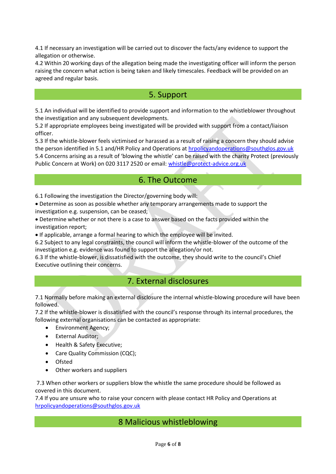4.1 If necessary an investigation will be carried out to discover the facts/any evidence to support the allegation or otherwise.

4.2 Within 20 working days of the allegation being made the investigating officer will inform the person raising the concern what action is being taken and likely timescales. Feedback will be provided on an agreed and regular basis.

### 5. Support

5.1 An individual will be identified to provide support and information to the whistleblower throughout the investigation and any subsequent developments.

5.2 If appropriate employees being investigated will be provided with support from a contact/liaison officer.

5.3 If the whistle-blower feels victimised or harassed as a result of raising a concern they should advise the person identified in 5.1 and/HR Policy and Operations at [hrpolicyandoperations@southglos.gov.uk](mailto:hrpolicyandoperations@southglos.gov.uk) 5.4 Concerns arising as a result of 'blowing the whistle' can be raised with the charity Protect (previously Public Concern at Work) on 020 3117 2520 or email: [whistle@protect-advice.org.uk](mailto:whistle@protect-advice.org.uk)

### 6. The Outcome

6.1 Following the investigation the Director/governing body will:

 Determine as soon as possible whether any temporary arrangements made to support the investigation e.g. suspension, can be ceased;

 Determine whether or not there is a case to answer based on the facts provided within the investigation report;

If applicable, arrange a formal hearing to which the employee will be invited.

6.2 Subject to any legal constraints, the council will inform the whistle-blower of the outcome of the investigation e.g. evidence was found to support the allegation/or not.

6.3 If the whistle-blower, is dissatisfied with the outcome, they should write to the council's Chief Executive outlining their concerns.

# 7. External disclosures

7.1 Normally before making an external disclosure the internal whistle-blowing procedure will have been followed.

7.2 If the whistle-blower is dissatisfied with the council's response through its internal procedures, the following external organisations can be contacted as appropriate:

- Environment Agency;
- External Auditor;
- Health & Safety Executive;
- Care Quality Commission (CQC);
- **Ofsted**
- Other workers and suppliers

7.3 When other workers or suppliers blow the whistle the same procedure should be followed as covered in this document.

7.4 If you are unsure who to raise your concern with please contact HR Policy and Operations at [hrpolicyandoperations@southglos.gov.uk](mailto:hrpolicyandoperations@southglos.gov.uk)

# 8 Malicious whistleblowing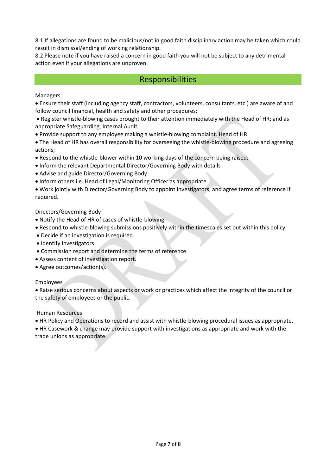8.1 If allegations are found to be malicious/not in good faith disciplinary action may be taken which could result in dismissal/ending of working relationship.

8.2 Please note if you have raised a concern in good faith you will not be subject to any detrimental action even if your allegations are unproven.

#### Responsibilities

Managers:

 Ensure their staff (including agency staff, contractors, volunteers, consultants, etc.) are aware of and follow council financial, health and safety and other procedures;

 Register whistle-blowing cases brought to their attention immediately with the Head of HR; and as appropriate Safeguarding, Internal Audit.

Provide support to any employee making a whistle-blowing complaint. Head of HR

 The Head of HR has overall responsibility for overseeing the whistle-blowing procedure and agreeing actions;

- Respond to the whistle-blower within 10 working days of the concern being raised;
- Inform the relevant Departmental Director/Governing Body with details
- Advise and guide Director/Governing Body
- Inform others i.e. Head of Legal/Monitoring Officer as appropriate.

 Work jointly with Director/Governing Body to appoint investigators, and agree terms of reference if required.

Directors/Governing Body

- Notify the Head of HR of cases of whistle-blowing.
- Respond to whistle-blowing submissions positively within the timescales set out within this policy.
- Decide if an investigation is required.
- Identify investigators.
- Commission report and determine the terms of reference.
- Assess content of investigation report.
- Agree outcomes/action(s).

#### Employees

 Raise serious concerns about aspects or work or practices which affect the integrity of the council or the safety of employees or the public.

Human Resources

HR Policy and Operations to record and assist with whistle-blowing procedural issues as appropriate.

 HR Casework & change may provide support with investigations as appropriate and work with the trade unions as appropriate.